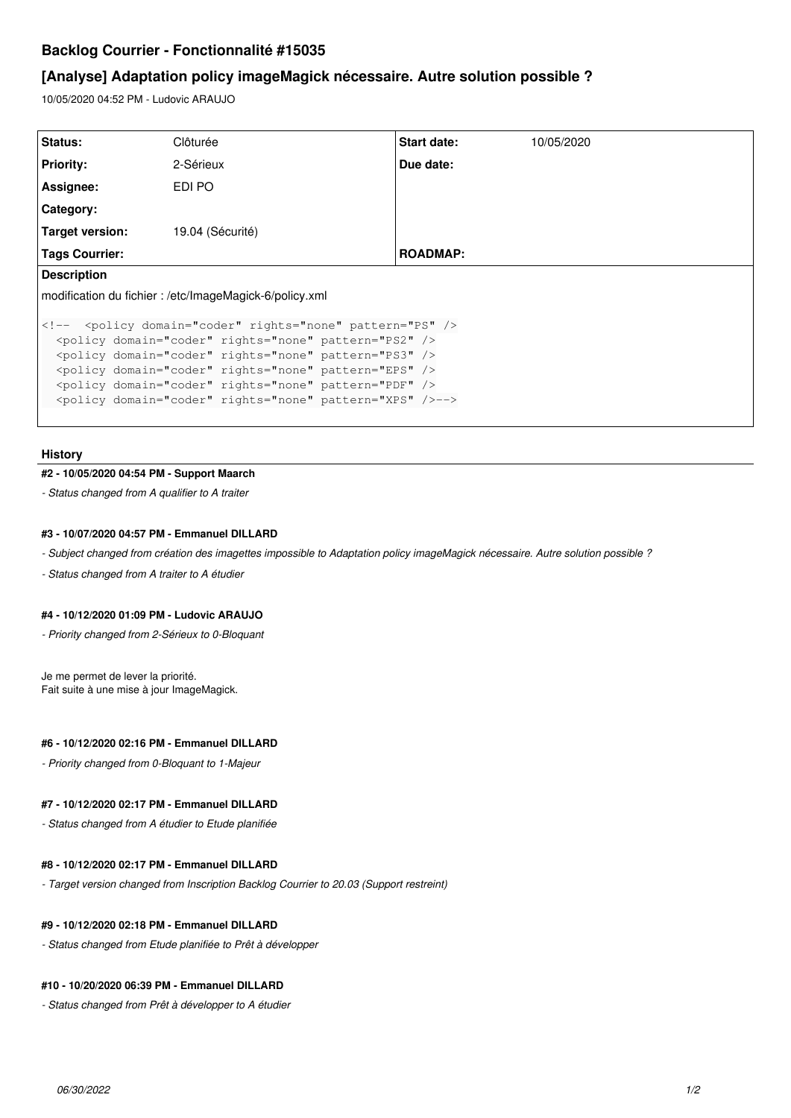# **Backlog Courrier - Fonctionnalité #15035**

# **[Analyse] Adaptation policy imageMagick nécessaire. Autre solution possible ?**

10/05/2020 04:52 PM - Ludovic ARAUJO

| Start date:<br>10/05/2020                                                                                                                                                                                                                                                                                                                         |  |  |
|---------------------------------------------------------------------------------------------------------------------------------------------------------------------------------------------------------------------------------------------------------------------------------------------------------------------------------------------------|--|--|
| Due date:                                                                                                                                                                                                                                                                                                                                         |  |  |
|                                                                                                                                                                                                                                                                                                                                                   |  |  |
|                                                                                                                                                                                                                                                                                                                                                   |  |  |
|                                                                                                                                                                                                                                                                                                                                                   |  |  |
| <b>ROADMAP:</b>                                                                                                                                                                                                                                                                                                                                   |  |  |
| <b>Description</b>                                                                                                                                                                                                                                                                                                                                |  |  |
| modification du fichier: /etc/ImageMagick-6/policy.xml                                                                                                                                                                                                                                                                                            |  |  |
| <policy domain="coder" rights="none" pattern="PS" /><br><policy domain="coder" rights="none" pattern="PS2" /><br><policy domain="coder" rights="none" pattern="PS3" /><br><policy domain="coder" rights="none" pattern="EPS" /><br><policy domain="coder" rights="none" pattern="PDF" /><br><policy domain="coder" rights="none" pattern="XPS" /> |  |  |
|                                                                                                                                                                                                                                                                                                                                                   |  |  |

## **History**

#### **#2 - 10/05/2020 04:54 PM - Support Maarch**

*- Status changed from A qualifier to A traiter*

# **#3 - 10/07/2020 04:57 PM - Emmanuel DILLARD**

*- Subject changed from création des imagettes impossible to Adaptation policy imageMagick nécessaire. Autre solution possible ?*

*- Status changed from A traiter to A étudier*

#### **#4 - 10/12/2020 01:09 PM - Ludovic ARAUJO**

*- Priority changed from 2-Sérieux to 0-Bloquant*

Je me permet de lever la priorité. Fait suite à une mise à jour ImageMagick.

#### **#6 - 10/12/2020 02:16 PM - Emmanuel DILLARD**

*- Priority changed from 0-Bloquant to 1-Majeur*

#### **#7 - 10/12/2020 02:17 PM - Emmanuel DILLARD**

*- Status changed from A étudier to Etude planifiée*

### **#8 - 10/12/2020 02:17 PM - Emmanuel DILLARD**

*- Target version changed from Inscription Backlog Courrier to 20.03 (Support restreint)*

# **#9 - 10/12/2020 02:18 PM - Emmanuel DILLARD**

*- Status changed from Etude planifiée to Prêt à développer*

## **#10 - 10/20/2020 06:39 PM - Emmanuel DILLARD**

*- Status changed from Prêt à développer to A étudier*